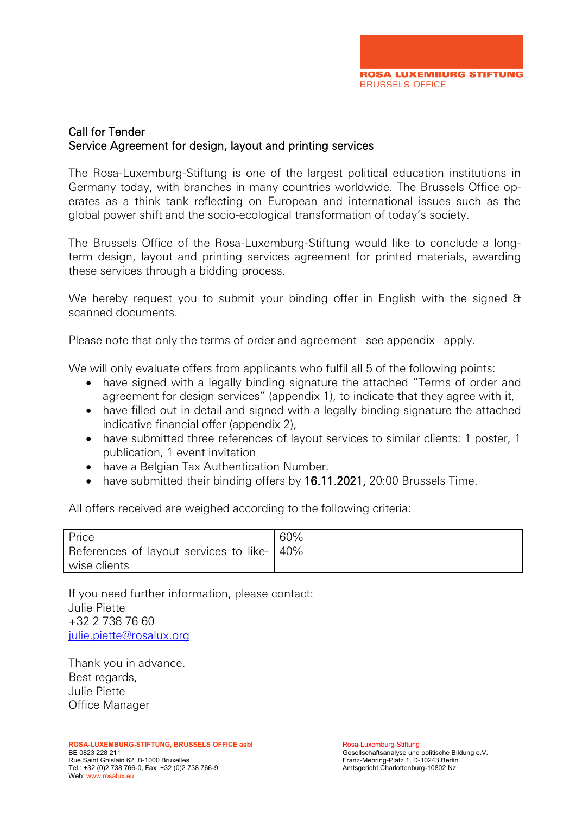

### Call for Tender Service Agreement for design, layout and printing services

The Rosa-Luxemburg-Stiftung is one of the largest political education institutions in Germany today, with branches in many countries worldwide. The Brussels Office operates as a think tank reflecting on European and international issues such as the global power shift and the socio-ecological transformation of today's society.

The Brussels Office of the Rosa-Luxemburg-Stiftung would like to conclude a longterm design, layout and printing services agreement for printed materials, awarding these services through a bidding process.

We hereby request you to submit your binding offer in English with the signed & scanned documents.

Please note that only the terms of order and agreement –see appendix– apply.

We will only evaluate offers from applicants who fulfil all 5 of the following points:

- have signed with a legally binding signature the attached "Terms of order and agreement for design services" (appendix 1), to indicate that they agree with it,
- have filled out in detail and signed with a legally binding signature the attached indicative financial offer (appendix 2),
- have submitted three references of layout services to similar clients: 1 poster, 1 publication, 1 event invitation
- have a Belgian Tax Authentication Number.
- have submitted their binding offers by 16.11.2021, 20:00 Brussels Time.

All offers received are weighed according to the following criteria:

| Price                                        | 60% |
|----------------------------------------------|-----|
| References of layout services to like-   40% |     |
| wise clients                                 |     |

If you need further information, please contact: Julie Piette +32 2 738 76 60 [julie.piette@rosalux.org](mailto:julie.piette@rosalux.org)

Thank you in advance. Best regards, Julie Piette Office Manager

**ROSA-LUXEMBURG-STIFTUNG, BRUSSELS OFFICE asbl<br>BE 0823 228 211** Rue Saint Ghislain 62, B-1000 Bruxelles Franz-Mehring-Platz 1, D-10243 Berlin<br>Tel.: +32 (0)2 738 766-0, Fax: +32 (0)2 738 766-9 Franz-Mehring-Platz 1, D-10243 Berling-10802 Nz Tel.: +32 (0)2 738 766-0, Fax: +32 (0)2 738 766-9 Web[: www.rosalux.eu](http://www.rosalux.eu/)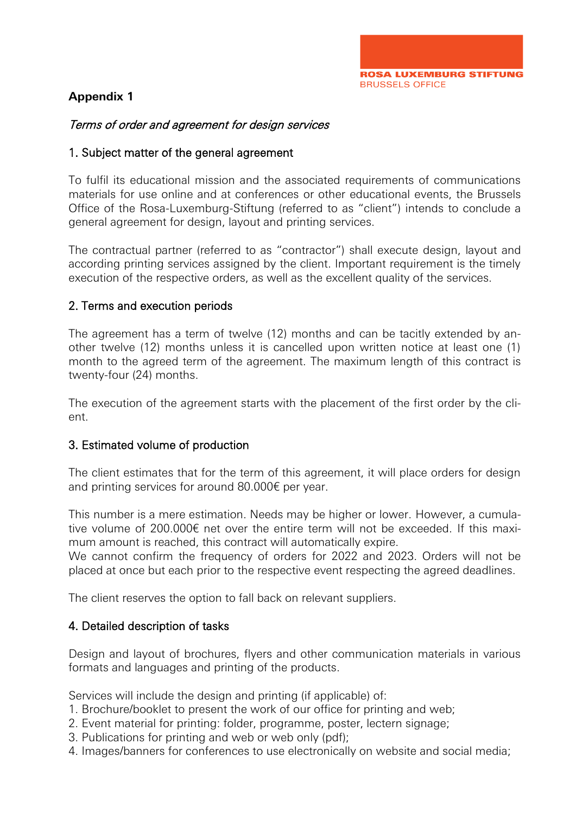

### **Appendix 1**

### Terms of order and agreement for design services

### 1. Subject matter of the general agreement

To fulfil its educational mission and the associated requirements of communications materials for use online and at conferences or other educational events, the Brussels Office of the Rosa-Luxemburg-Stiftung (referred to as "client") intends to conclude a general agreement for design, layout and printing services.

The contractual partner (referred to as "contractor") shall execute design, layout and according printing services assigned by the client. Important requirement is the timely execution of the respective orders, as well as the excellent quality of the services.

### 2. Terms and execution periods

The agreement has a term of twelve (12) months and can be tacitly extended by another twelve (12) months unless it is cancelled upon written notice at least one (1) month to the agreed term of the agreement. The maximum length of this contract is twenty-four (24) months.

The execution of the agreement starts with the placement of the first order by the client.

### 3. Estimated volume of production

The client estimates that for the term of this agreement, it will place orders for design and printing services for around 80.000€ per year.

This number is a mere estimation. Needs may be higher or lower. However, a cumulative volume of 200.000€ net over the entire term will not be exceeded. If this maximum amount is reached, this contract will automatically expire.

We cannot confirm the frequency of orders for 2022 and 2023. Orders will not be placed at once but each prior to the respective event respecting the agreed deadlines.

The client reserves the option to fall back on relevant suppliers.

### 4. Detailed description of tasks

Design and layout of brochures, flyers and other communication materials in various formats and languages and printing of the products.

Services will include the design and printing (if applicable) of:

- 1. Brochure/booklet to present the work of our office for printing and web;
- 2. Event material for printing: folder, programme, poster, lectern signage;
- 3. Publications for printing and web or web only (pdf);
- 4. Images/banners for conferences to use electronically on website and social media;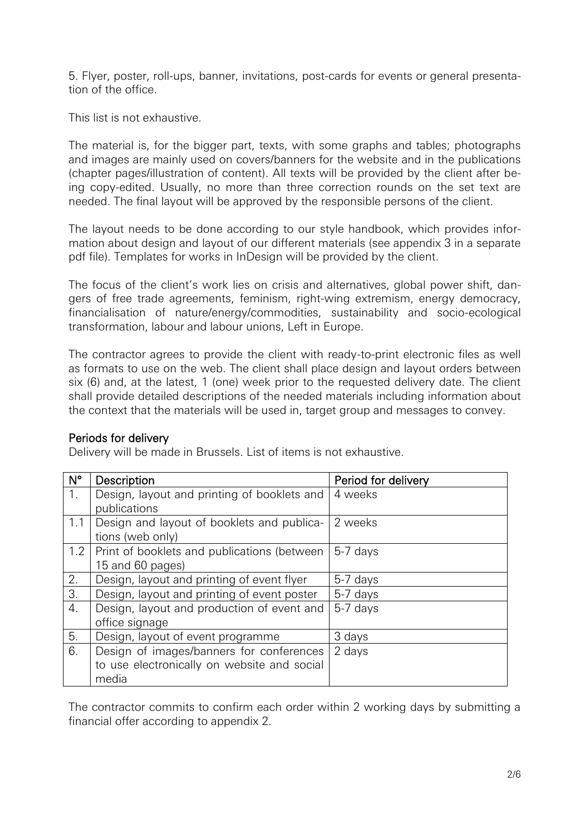5. Flyer, poster, roll-ups, banner, invitations, post-cards for events or general presentation of the office.

This list is not exhaustive.

The material is, for the bigger part, texts, with some graphs and tables; photographs and images are mainly used on covers/banners for the website and in the publications (chapter pages/illustration of content). All texts will be provided by the client after being copy-edited. Usually, no more than three correction rounds on the set text are needed. The final layout will be approved by the responsible persons of the client.

The layout needs to be done according to our style handbook, which provides information about design and layout of our different materials (see appendix 3 in a separate pdf file). Templates for works in InDesign will be provided by the client.

The focus of the client's work lies on crisis and alternatives, global power shift, dangers of free trade agreements, feminism, right-wing extremism, energy democracy, financialisation of nature/energy/commodities, sustainability and socio-ecological transformation, labour and labour unions, Left in Europe.

The contractor agrees to provide the client with ready-to-print electronic files as well as formats to use on the web. The client shall place design and layout orders between six (6) and, at the latest, 1 (one) week prior to the requested delivery date. The client shall provide detailed descriptions of the needed materials including information about the context that the materials will be used in, target group and messages to convey.

### Periods for delivery

Delivery will be made in Brussels. List of items is not exhaustive.

| $N^{\circ}$ | Description                                 | Period for delivery |
|-------------|---------------------------------------------|---------------------|
| 1.          | Design, layout and printing of booklets and | 4 weeks             |
|             | publications                                |                     |
| 1.1         | Design and layout of booklets and publica-  | 2 weeks             |
|             | tions (web only)                            |                     |
| 1.2         | Print of booklets and publications (between | 5-7 days            |
|             | 15 and 60 pages)                            |                     |
| 2.          | Design, layout and printing of event flyer  | 5-7 days            |
| 3.          | Design, layout and printing of event poster | 5-7 days            |
| 4.          | Design, layout and production of event and  | 5-7 days            |
|             | office signage                              |                     |
| 5.          | Design, layout of event programme           | 3 days              |
| 6.          | Design of images/banners for conferences    | 2 days              |
|             | to use electronically on website and social |                     |
|             | media                                       |                     |

The contractor commits to confirm each order within 2 working days by submitting a financial offer according to appendix 2.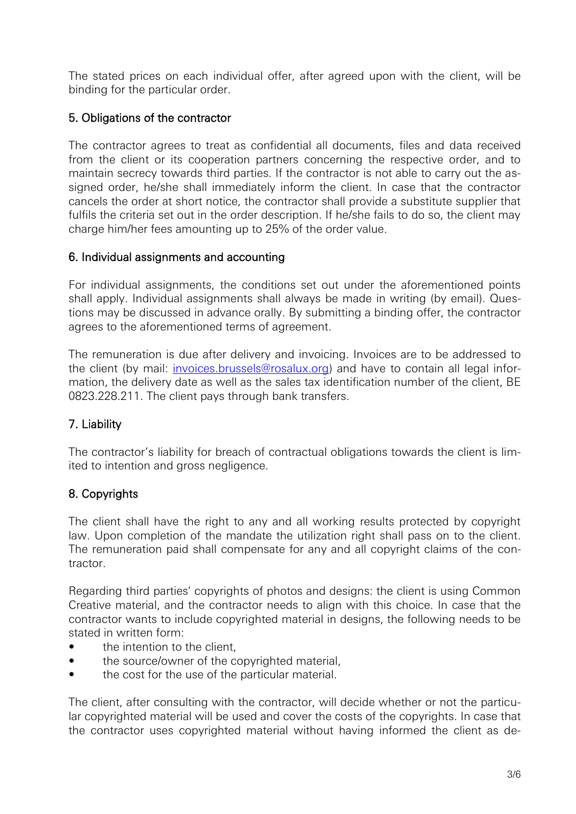The stated prices on each individual offer, after agreed upon with the client, will be binding for the particular order.

### 5. Obligations of the contractor

The contractor agrees to treat as confidential all documents, files and data received from the client or its cooperation partners concerning the respective order, and to maintain secrecy towards third parties. If the contractor is not able to carry out the assigned order, he/she shall immediately inform the client. In case that the contractor cancels the order at short notice, the contractor shall provide a substitute supplier that fulfils the criteria set out in the order description. If he/she fails to do so, the client may charge him/her fees amounting up to 25% of the order value.

### 6. Individual assignments and accounting

For individual assignments, the conditions set out under the aforementioned points shall apply. Individual assignments shall always be made in writing (by email). Questions may be discussed in advance orally. By submitting a binding offer, the contractor agrees to the aforementioned terms of agreement.

The remuneration is due after delivery and invoicing. Invoices are to be addressed to the client (by mail: *invoices.brussels@rosalux.org*) and have to contain all legal information, the delivery date as well as the sales tax identification number of the client, BE 0823.228.211. The client pays through bank transfers.

### 7. Liability

The contractor's liability for breach of contractual obligations towards the client is limited to intention and gross negligence.

## 8. Copyrights

The client shall have the right to any and all working results protected by copyright law. Upon completion of the mandate the utilization right shall pass on to the client. The remuneration paid shall compensate for any and all copyright claims of the contractor.

Regarding third parties' copyrights of photos and designs: the client is using Common Creative material, and the contractor needs to align with this choice. In case that the contractor wants to include copyrighted material in designs, the following needs to be stated in written form:

- the intention to the client,
- the source/owner of the copyrighted material,
- the cost for the use of the particular material.

The client, after consulting with the contractor, will decide whether or not the particular copyrighted material will be used and cover the costs of the copyrights. In case that the contractor uses copyrighted material without having informed the client as de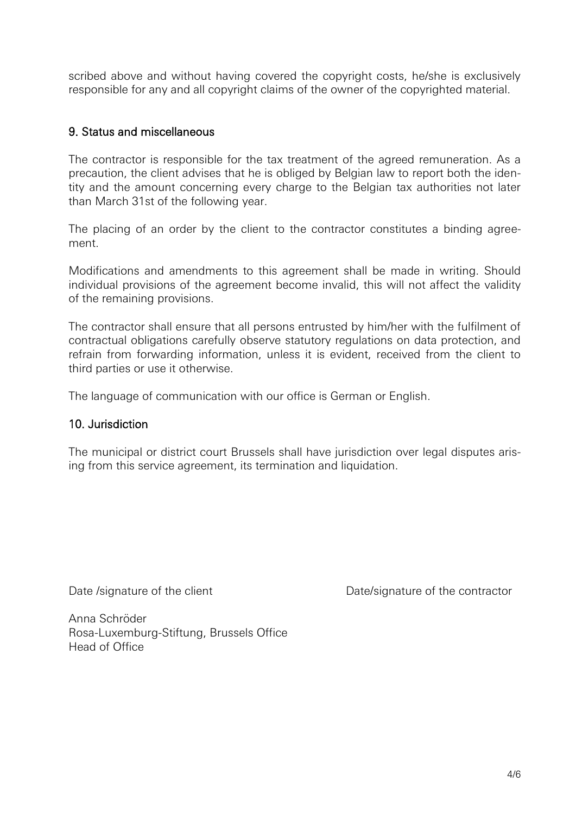scribed above and without having covered the copyright costs, he/she is exclusively responsible for any and all copyright claims of the owner of the copyrighted material.

### 9. Status and miscellaneous

The contractor is responsible for the tax treatment of the agreed remuneration. As a precaution, the client advises that he is obliged by Belgian law to report both the identity and the amount concerning every charge to the Belgian tax authorities not later than March 31st of the following year.

The placing of an order by the client to the contractor constitutes a binding agreement.

Modifications and amendments to this agreement shall be made in writing. Should individual provisions of the agreement become invalid, this will not affect the validity of the remaining provisions.

The contractor shall ensure that all persons entrusted by him/her with the fulfilment of contractual obligations carefully observe statutory regulations on data protection, and refrain from forwarding information, unless it is evident, received from the client to third parties or use it otherwise.

The language of communication with our office is German or English.

#### 10. Jurisdiction

The municipal or district court Brussels shall have jurisdiction over legal disputes arising from this service agreement, its termination and liquidation.

Date /signature of the client Date/signature of the contractor

Anna Schröder Rosa-Luxemburg-Stiftung, Brussels Office Head of Office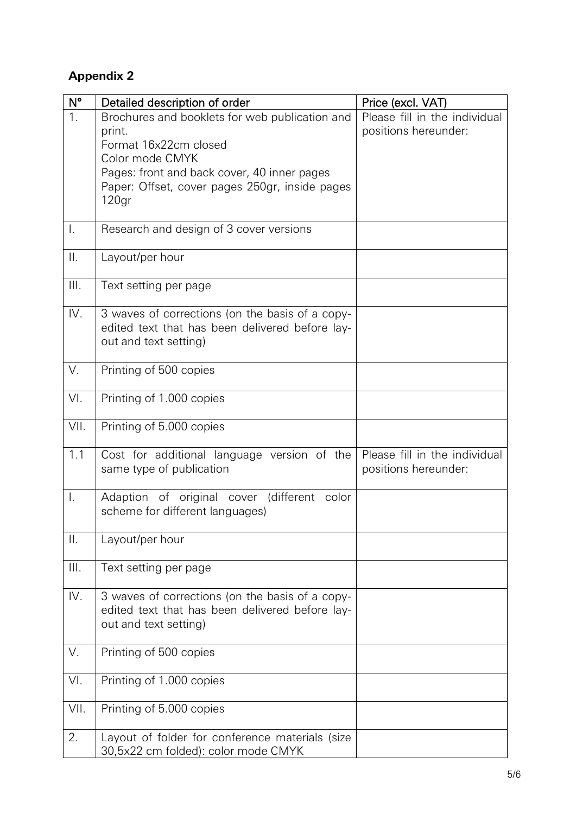# **Appendix 2**

| $N^{\circ}$ | Detailed description of order                   | Price (excl. VAT)             |
|-------------|-------------------------------------------------|-------------------------------|
| 1.          | Brochures and booklets for web publication and  | Please fill in the individual |
|             | print.                                          | positions hereunder:          |
|             | Format 16x22cm closed                           |                               |
|             | Color mode CMYK                                 |                               |
|             | Pages: front and back cover, 40 inner pages     |                               |
|             | Paper: Offset, cover pages 250gr, inside pages  |                               |
|             | 120 <sub>gr</sub>                               |                               |
|             |                                                 |                               |
| Ι.          | Research and design of 3 cover versions         |                               |
|             |                                                 |                               |
| $\prod$ .   | Layout/per hour                                 |                               |
|             |                                                 |                               |
| III.        | Text setting per page                           |                               |
|             |                                                 |                               |
| IV.         | 3 waves of corrections (on the basis of a copy- |                               |
|             | edited text that has been delivered before lay- |                               |
|             | out and text setting)                           |                               |
|             |                                                 |                               |
| V.          | Printing of 500 copies                          |                               |
|             |                                                 |                               |
| VI.         | Printing of 1.000 copies                        |                               |
|             |                                                 |                               |
| VII.        | Printing of 5.000 copies                        |                               |
|             |                                                 |                               |
| 1.1         | Cost for additional language version of the     | Please fill in the individual |
|             | same type of publication                        | positions hereunder:          |
|             |                                                 |                               |
| I.          | Adaption of original cover (different color     |                               |
|             | scheme for different languages)                 |                               |
|             |                                                 |                               |
| $\prod$ .   | Layout/per hour                                 |                               |
|             |                                                 |                               |
| III.        | Text setting per page                           |                               |
| IV.         | 3 waves of corrections (on the basis of a copy- |                               |
|             | edited text that has been delivered before lay- |                               |
|             | out and text setting)                           |                               |
|             |                                                 |                               |
| V.          | Printing of 500 copies                          |                               |
|             |                                                 |                               |
| VI.         | Printing of 1.000 copies                        |                               |
|             |                                                 |                               |
| VII.        | Printing of 5.000 copies                        |                               |
|             |                                                 |                               |
| 2.          | Layout of folder for conference materials (size |                               |
|             | 30,5x22 cm folded): color mode CMYK             |                               |